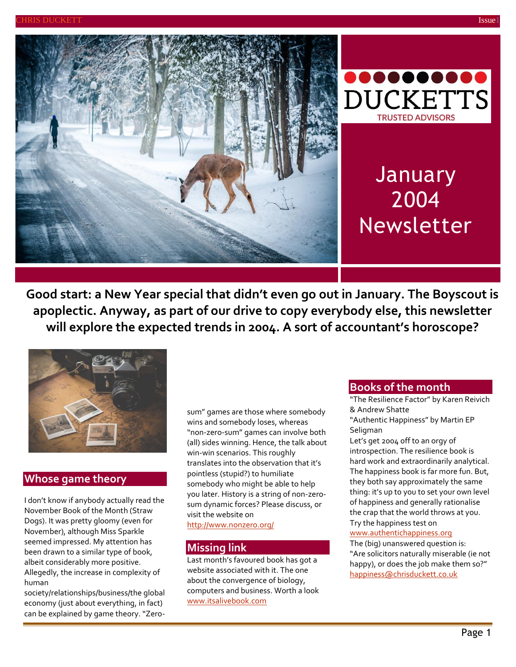



# **January** 2004 Newsletter

**Good start: a New Year special that didn't even go out in January. The Boyscout is apoplectic. Anyway, as part of our drive to copy everybody else, this newsletter will explore the expected trends in 2004. A sort of accountant's horoscope?**



# **Whose game theory**

I don't know if anybody actually read the November Book of the Month (Straw Dogs). It was pretty gloomy (even for November), although Miss Sparkle seemed impressed. My attention has been drawn to a similar type of book, albeit considerably more positive. Allegedly, the increase in complexity of human

society/relationships/business/the global economy (just about everything, in fact) can be explained by game theory. "Zerosum" games are those where somebody wins and somebody loses, whereas "non-zero-sum" games can involve both (all) sides winning. Hence, the talk about win-win scenarios. This roughly translates into the observation that it's pointless (stupid?) to humiliate somebody who might be able to help you later. History is a string of non-zerosum dynamic forces? Please discuss, or visit the website on <http://www.nonzero.org/>

## **Missing link**

Last month's favoured book has got a website associated with it. The one about the convergence of biology, computers and business. Worth a look [www.itsalivebook.com](http://www.itsalivebook.com/)

#### **Books of the month**

"The Resilience Factor" by Karen Reivich & Andrew Shatte "Authentic Happiness" by Martin EP Seligman

Let's get 2004 off to an orgy of introspection. The resilience book is hard work and extraordinarily analytical. The happiness book is far more fun. But, they both say approximately the same thing: it's up to you to set your own level of happiness and generally rationalise the crap that the world throws at you. Try the happiness test on

#### [www.authentichappiness.org](http://www.authentichappiness.org/)

The (big) unanswered question is: "Are solicitors naturally miserable (ie not happy), or does the job make them so?" [happiness@chrisduckett.co.uk](mailto:happiness@chrisduckett.co.uk)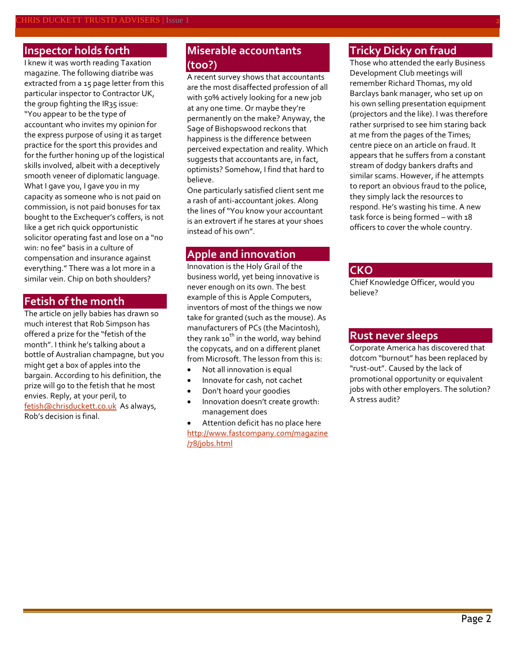#### **Inspector holds forth**

I knew it was worth reading Taxation magazine. The following diatribe was extracted from a 15 page letter from this particular inspector to Contractor UK, the group fighting the IR35 issue: "You appear to be the type of accountant who invites my opinion for the express purpose of using it as target practice for the sport this provides and for the further honing up of the logistical skills involved, albeit with a deceptively smooth veneer of diplomatic language. What I gave you, I gave you in my capacity as someone who is not paid on commission, is not paid bonuses for tax bought to the Exchequer's coffers, is not like a get rich quick opportunistic solicitor operating fast and lose on a "no win: no fee" basis in a culture of compensation and insurance against everything." There was a lot more in a similar vein. Chip on both shoulders?

## **Fetish of the month**

The article on jelly babies has drawn so much interest that Rob Simpson has offered a prize for the "fetish of the month". I think he's talking about a bottle of Australian champagne, but you might get a box of apples into the bargain. According to his definition, the prize will go to the fetish that he most envies. Reply, at your peril, to [fetish@chrisduckett.co.uk](mailto:fetish@chrisduckett.co.uk) As always, Rob's decision is final.

# **Miserable accountants (too?)**

A recent survey shows that accountants are the most disaffected profession of all with 50% actively looking for a new job at any one time. Or maybe they're permanently on the make? Anyway, the Sage of Bishopswood reckons that happiness is the difference between perceived expectation and reality. Which suggests that accountants are, in fact, optimists? Somehow, I find that hard to believe.

One particularly satisfied client sent me a rash of anti-accountant jokes. Along the lines of "You know your accountant is an extrovert if he stares at your shoes instead of his own".

#### **Apple and innovation**

Innovation is the Holy Grail of the business world, yet being innovative is never enough on its own. The best example of this is Apple Computers, inventors of most of the things we now take for granted (such as the mouse). As manufacturers of PCs (the Macintosh), they rank 10<sup>th</sup> in the world, way behind the copycats, and on a different planet from Microsoft. The lesson from this is:

- Not all innovation is equal
- Innovate for cash, not cachet
- Don't hoard your goodies
- Innovation doesn't create growth: management does
- Attention deficit has no place here [http://www.fastcompany.com/magazine](http://www.fastcompany.com/magazine/78/jobs.html) [/78/jobs.html](http://www.fastcompany.com/magazine/78/jobs.html)

# **Tricky Dicky on fraud**

Those who attended the early Business Development Club meetings will remember Richard Thomas, my old Barclays bank manager, who set up on his own selling presentation equipment (projectors and the like). I was therefore rather surprised to see him staring back at me from the pages of the Times; centre piece on an article on fraud. It appears that he suffers from a constant stream of dodgy bankers drafts and similar scams. However, if he attempts to report an obvious fraud to the police, they simply lack the resources to respond. He's wasting his time. A new task force is being formed – with 18 officers to cover the whole country.

#### **CKO**

Chief Knowledge Officer, would you believe?

#### **Rust never sleeps**

Corporate America has discovered that dotcom "burnout" has been replaced by "rust-out". Caused by the lack of promotional opportunity or equivalent jobs with other employers. The solution? A stress audit?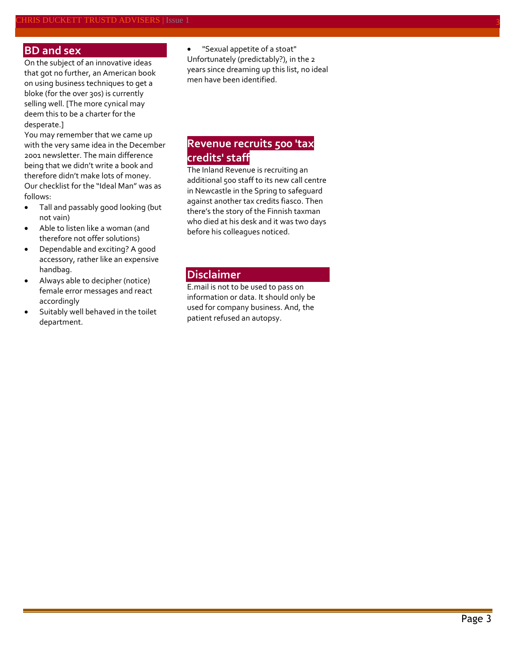#### **BD and sex**

On the subject of an innovative ideas that got no further, an American book on using business techniques to get a bloke (for the over 30s) is currently selling well. [The more cynical may deem this to be a charter for the desperate.]

You may remember that we came up with the very same idea in the December 2001 newsletter. The main difference being that we didn't write a book and therefore didn't make lots of money. Our checklist for the "Ideal Man" was as follows:

- Tall and passably good looking (but not vain)
- Able to listen like a woman (and therefore not offer solutions)
- Dependable and exciting? A good accessory, rather like an expensive handbag.
- Always able to decipher (notice) female error messages and react accordingly
- Suitably well behaved in the toilet department.

 "Sexual appetite of a stoat" Unfortunately (predictably?), in the 2 years since dreaming up this list, no ideal men have been identified.

# **Revenue recruits 500 'tax credits' staff**

The Inland Revenue is recruiting an additional 500 staff to its new call centre in Newcastle in the Spring to safeguard against another tax credits fiasco. Then there's the story of the Finnish taxman who died at his desk and it was two days before his colleagues noticed.

#### **Disclaimer**

E.mail is not to be used to pass on information or data. It should only be used for company business. And, the patient refused an autopsy.